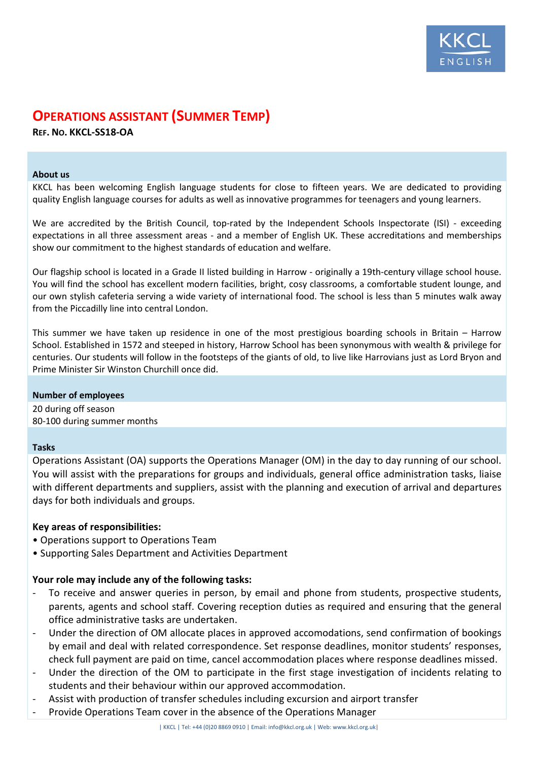

# **OPERATIONS ASSISTANT (SUMMER TEMP)**

**REF. NO. KKCL-SS18-OA**

#### **About us**

KKCL has been welcoming English language students for close to fifteen years. We are dedicated to providing quality English language courses for adults as well as innovative programmes for teenagers and young learners.

We are accredited by the British Council, top-rated by the Independent Schools Inspectorate (ISI) - exceeding expectations in all three assessment areas - and a member of English UK. These accreditations and memberships show our commitment to the highest standards of education and welfare.

Our flagship school is located in a Grade II listed building in Harrow - originally a 19th-century village school house. You will find the school has excellent modern facilities, bright, cosy classrooms, a comfortable student lounge, and our own stylish cafeteria serving a wide variety of international food. The school is less than 5 minutes walk away from the Piccadilly line into central London.

This summer we have taken up residence in one of the most prestigious boarding schools in Britain – Harrow School. Established in 1572 and steeped in history, Harrow School has been synonymous with wealth & privilege for centuries. Our students will follow in the footsteps of the giants of old, to live like Harrovians just as Lord Bryon and Prime Minister Sir Winston Churchill once did.

# **Number of employees**

20 during off season 80-100 during summer months

# **Tasks**

Operations Assistant (OA) supports the Operations Manager (OM) in the day to day running of our school. You will assist with the preparations for groups and individuals, general office administration tasks, liaise with different departments and suppliers, assist with the planning and execution of arrival and departures days for both individuals and groups.

# **Key areas of responsibilities:**

- Operations support to Operations Team
- Supporting Sales Department and Activities Department

# **Your role may include any of the following tasks:**

- To receive and answer queries in person, by email and phone from students, prospective students, parents, agents and school staff. Covering reception duties as required and ensuring that the general office administrative tasks are undertaken.
- Under the direction of OM allocate places in approved accomodations, send confirmation of bookings by email and deal with related correspondence. Set response deadlines, monitor students' responses, check full payment are paid on time, cancel accommodation places where response deadlines missed.
- Under the direction of the OM to participate in the first stage investigation of incidents relating to students and their behaviour within our approved accommodation.
- Assist with production of transfer schedules including excursion and airport transfer
	- Provide Operations Team cover in the absence of the Operations Manager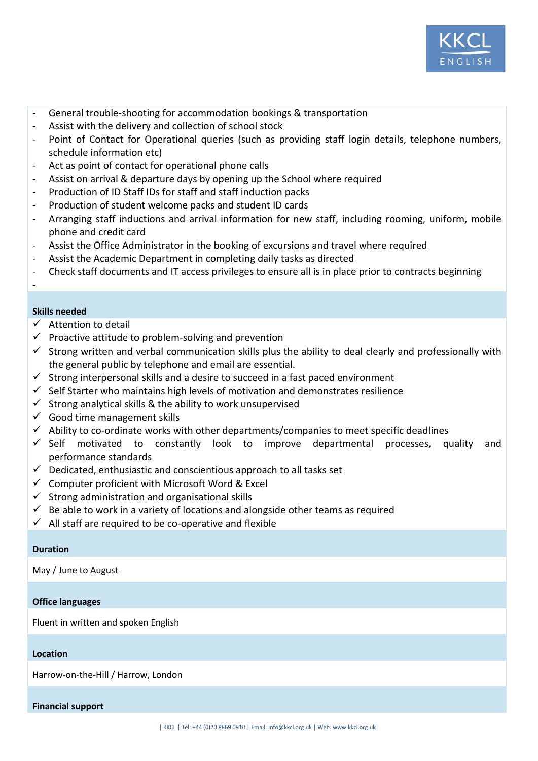

- General trouble-shooting for accommodation bookings & transportation
- Assist with the delivery and collection of school stock
- Point of Contact for Operational queries (such as providing staff login details, telephone numbers, schedule information etc)
- Act as point of contact for operational phone calls
- Assist on arrival & departure days by opening up the School where required
- Production of ID Staff IDs for staff and staff induction packs
- Production of student welcome packs and student ID cards
- Arranging staff inductions and arrival information for new staff, including rooming, uniform, mobile phone and credit card
- Assist the Office Administrator in the booking of excursions and travel where required
- Assist the Academic Department in completing daily tasks as directed
- Check staff documents and IT access privileges to ensure all is in place prior to contracts beginning

# **Skills needed**

-

- $\checkmark$  Attention to detail
- $\checkmark$  Proactive attitude to problem-solving and prevention
- $\checkmark$  Strong written and verbal communication skills plus the ability to deal clearly and professionally with the general public by telephone and email are essential.
- $\checkmark$  Strong interpersonal skills and a desire to succeed in a fast paced environment
- $\checkmark$  Self Starter who maintains high levels of motivation and demonstrates resilience
- $\checkmark$  Strong analytical skills & the ability to work unsupervised
- $\checkmark$  Good time management skills
- $\checkmark$  Ability to co-ordinate works with other departments/companies to meet specific deadlines
- $\checkmark$  Self motivated to constantly look to improve departmental processes, quality and performance standards
- $\checkmark$  Dedicated, enthusiastic and conscientious approach to all tasks set
- $\checkmark$  Computer proficient with Microsoft Word & Excel
- $\checkmark$  Strong administration and organisational skills
- Be able to work in a variety of locations and alongside other teams as required
- $\checkmark$  All staff are required to be co-operative and flexible

#### **Duration**

May / June to August

#### **Office languages**

Fluent in written and spoken English

#### **Location**

Harrow-on-the-Hill / Harrow, London

#### **Financial support**